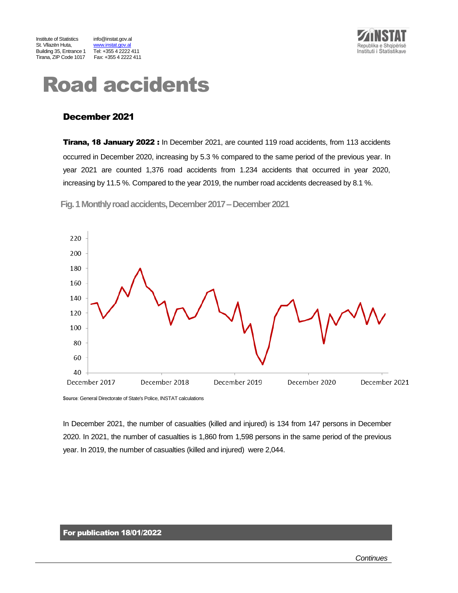

www.instat.gov.al<br>Tel: +355 4 2222 411



# Road accidents

# December 2021

**Tirana, 18 January 2022:** In December 2021, are counted 119 road accidents, from 113 accidents occurred in December 2020, increasing by 5.3 % compared to the same period of the previous year. In year 2021 are counted 1,376 road accidents from 1.234 accidents that occurred in year 2020, increasing by 11.5 %. Compared to the year 2019, the number road accidents decreased by 8.1 %.

Fig. 1 Monthly road accidents, December 2017 – December 2021



**Source**: General Directorate of State's Police, INSTAT calculations

In December 2021, the number of casualties (killed and injured) is 134 from 147 persons in December 2020. In 2021, the number of casualties is 1,860 from 1,598 persons in the same period of the previous year. In 2019, the number of casualties (killed and injured) were 2,044.

## For publication 18/01/2022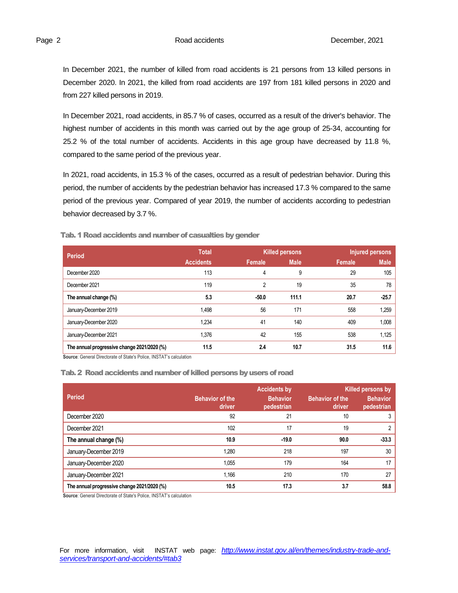In December 2021, the number of killed from road accidents is 21 persons from 13 killed persons in December 2020. In 2021, the killed from road accidents are 197 from 181 killed persons in 2020 and from 227 killed persons in 2019.

In December 2021, road accidents, in 85.7 % of cases, occurred as a result of the driver's behavior. The highest number of accidents in this month was carried out by the age group of 25-34, accounting for 25.2 % of the total number of accidents. Accidents in this age group have decreased by 11.8 %, compared to the same period of the previous year.

In 2021, road accidents, in 15.3 % of the cases, occurred as a result of pedestrian behavior. During this period, the number of accidents by the pedestrian behavior has increased 17.3 % compared to the same period of the previous year. Compared of year 2019, the number of accidents according to pedestrian behavior decreased by 3.7 %.

| <b>Period</b>                                                       | <b>Total</b>     | <b>Killed persons</b> |             | Injured persons |             |  |  |
|---------------------------------------------------------------------|------------------|-----------------------|-------------|-----------------|-------------|--|--|
|                                                                     | <b>Accidents</b> | Female                | <b>Male</b> | Female          | <b>Male</b> |  |  |
| December 2020                                                       | 113              | 4                     | 9           | 29              | 105         |  |  |
| December 2021                                                       | 119              | $\overline{2}$        | 19          | 35              | 78          |  |  |
| The annual change (%)                                               | 5.3              | $-50.0$               | 111.1       | 20.7            | $-25.7$     |  |  |
| January-December 2019                                               | 1,498            | 56                    | 171         | 558             | 1,259       |  |  |
| January-December 2020                                               | 1,234            | 41                    | 140         | 409             | 1,008       |  |  |
| January-December 2021                                               | 1,376            | 42                    | 155         | 538             | 1.125       |  |  |
| The annual progressive change 2021/2020 (%)                         | 11.5             | 2.4                   | 10.7        | 31.5            | 11.6        |  |  |
| Source: General Directorate of State's Police, INSTAT's calculation |                  |                       |             |                 |             |  |  |

Tab. 1 Road accidents and number of casualties by gender

#### Tab. 2 Road accidents and number of killed persons by users of road

|                                             | <b>Accidents by</b><br><b>Killed persons by</b> |                               |                                  |                               |  |  |
|---------------------------------------------|-------------------------------------------------|-------------------------------|----------------------------------|-------------------------------|--|--|
| <b>Period</b>                               | <b>Behavior of the</b><br>driver                | <b>Behavior</b><br>pedestrian | <b>Behavior of the</b><br>driver | <b>Behavior</b><br>pedestrian |  |  |
| December 2020                               | 92                                              | 21                            | 10                               |                               |  |  |
| December 2021                               | 102                                             | 17                            | 19                               | 2                             |  |  |
| The annual change (%)                       | 10.9                                            | $-19.0$                       | 90.0                             | $-33.3$                       |  |  |
| January-December 2019                       | 1.280                                           | 218                           | 197                              | 30                            |  |  |
| January-December 2020                       | 1.055                                           | 179                           | 164                              | 17                            |  |  |
| January-December 2021                       | 1.166                                           | 210                           | 170                              | 27                            |  |  |
| The annual progressive change 2021/2020 (%) | 10.5                                            | 17.3                          | 3.7                              | 58.8                          |  |  |

**Source**: General Directorate of State's Police, INSTAT's calculation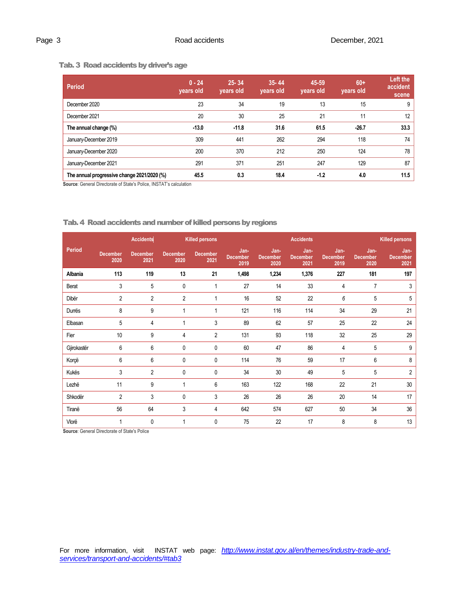#### Tab. 3 Road accidents by driver's age

| <b>Period</b>                               | $0 - 24$<br>years old | $25 - 34$<br>years old | $35 - 44$<br>years old | 45-59<br>vears old | $60+$<br>years old | Left the<br>accident<br>scene |
|---------------------------------------------|-----------------------|------------------------|------------------------|--------------------|--------------------|-------------------------------|
| December 2020                               | 23                    | 34                     | 19                     | 13                 | 15                 | 9                             |
| December 2021                               | 20                    | 30                     | 25                     | 21                 | 11                 | 12                            |
| The annual change (%)                       | $-13.0$               | $-11.8$                | 31.6                   | 61.5               | $-26.7$            | 33.3                          |
| January-December 2019                       | 309                   | 441                    | 262                    | 294                | 118                | 74                            |
| January-December 2020                       | 200                   | 370                    | 212                    | 250                | 124                | 78                            |
| January-December 2021                       | 291                   | 371                    | 251                    | 247                | 129                | 87                            |
| The annual progressive change 2021/2020 (%) | 45.5                  | 0.3                    | 18.4                   | $-1.2$             | 4.0                | 11.5                          |

**Source**: General Directorate of State's Police, INSTAT's calculation

|               | <b>Accidents</b>        |                         | <b>Killed persons</b>   |                         | <b>Accidents</b>                |                                 |                                 |                                 | <b>Killed persons</b>           |                                 |  |
|---------------|-------------------------|-------------------------|-------------------------|-------------------------|---------------------------------|---------------------------------|---------------------------------|---------------------------------|---------------------------------|---------------------------------|--|
| <b>Period</b> | <b>December</b><br>2020 | <b>December</b><br>2021 | <b>December</b><br>2020 | <b>December</b><br>2021 | Jan-<br><b>December</b><br>2019 | Jan-<br><b>December</b><br>2020 | Jan-<br><b>December</b><br>2021 | Jan-<br><b>December</b><br>2019 | Jan-<br><b>December</b><br>2020 | Jan-<br><b>December</b><br>2021 |  |
| Albania       | 113                     | 119                     | 13                      | 21                      | 1,498                           | 1,234                           | 1,376                           | 227                             | 181                             | 197                             |  |
| Berat         | 3                       | 5                       | $\mathbf{0}$            | 1                       | 27                              | 14                              | 33                              | 4                               | $\overline{7}$                  | 3                               |  |
| Dibër         | $\overline{2}$          | 2                       | $\overline{2}$          | 1                       | $16\,$                          | 52                              | 22                              | 6                               | 5                               | 5                               |  |
| Durrës        | 8                       | 9                       | 1                       | 1                       | 121                             | 116                             | 114                             | 34                              | 29                              | 21                              |  |
| Elbasan       | 5                       | 4                       | 4                       | 3                       | 89                              | 62                              | 57                              | 25                              | 22                              | 24                              |  |
| Fier          | 10                      | 9                       | 4                       | $\overline{2}$          | 131                             | 93                              | 118                             | 32                              | 25                              | 29                              |  |
| Gjirokastër   | 6                       | 6                       | $\mathbf{0}$            | 0                       | 60                              | 47                              | 86                              | 4                               | 5                               | 9                               |  |
| Korçë         | 6                       | 6                       | $\mathbf{0}$            | 0                       | 114                             | 76                              | 59                              | 17                              | 6                               | 8                               |  |
| Kukës         | 3                       | $\overline{2}$          | $\mathbf{0}$            | $\mathbf{0}$            | 34                              | 30                              | 49                              | 5                               | 5                               | $\overline{2}$                  |  |
| Lezhë         | 11                      | 9                       |                         | $6\phantom{1}$          | 163                             | 122                             | 168                             | 22                              | 21                              | 30                              |  |
| Shkodër       | $\overline{2}$          | 3                       | $\mathbf{0}$            | 3                       | 26                              | 26                              | 26                              | 20                              | 14                              | 17                              |  |
| Tiranë        | 56                      | 64                      | 3                       | 4                       | 642                             | 574                             | 627                             | 50                              | 34                              | 36                              |  |
| Vlorë         | $\mathbf{1}$            | 0                       | 1                       | $\mathbf{0}$            | 75                              | 22                              | 17                              | 8                               | 8                               | 13                              |  |

### Tab.4 Road accidents and number of killed persons by regions

**Source: General Directorate of State's Police**